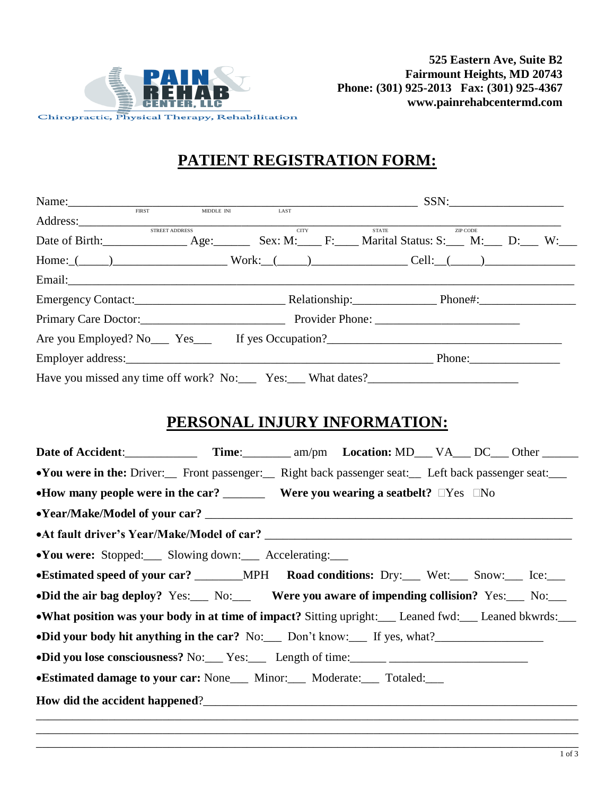

# **PATIENT REGISTRATION FORM:**

| Name:                                                              |                            |             |              | SSN:        |  |
|--------------------------------------------------------------------|----------------------------|-------------|--------------|-------------|--|
|                                                                    | MIDDLE INI<br><b>FIRST</b> | LAST        |              |             |  |
|                                                                    | STREET ADDRESS             | <b>CITY</b> | <b>STATE</b> | ZIP CODE    |  |
| Date of Birth: Age: Age: Sex: M: F: Marital Status: S: M: D: W: W: |                            |             |              |             |  |
| $Home:$ $(\_\_\_\_\_\_$                                            |                            |             |              |             |  |
| Email: Email:                                                      |                            |             |              |             |  |
| Emergency Contact: Contact: Relationship: Phone#: Phone#:          |                            |             |              |             |  |
| Primary Care Doctor: Provider Phone:                               |                            |             |              |             |  |
| Are you Employed? No Yes Figure 16 yes Occupation?                 |                            |             |              |             |  |
|                                                                    |                            |             |              | Phone: 2008 |  |
|                                                                    |                            |             |              |             |  |

## **PERSONAL INJURY INFORMATION:**

| •You were in the: Driver: Front passenger: Right back passenger seat: Left back passenger seat:    |  |  |  |  |  |
|----------------------------------------------------------------------------------------------------|--|--|--|--|--|
| •How many people were in the car? __________ Were you wearing a seatbelt? $\square Yes \square No$ |  |  |  |  |  |
|                                                                                                    |  |  |  |  |  |
|                                                                                                    |  |  |  |  |  |
| •You were: Stopped: Slowing down: Accelerating:                                                    |  |  |  |  |  |
|                                                                                                    |  |  |  |  |  |
| •Did the air bag deploy? Yes: No: Were you aware of impending collision? Yes: No:                  |  |  |  |  |  |
| • What position was your body in at time of impact? Sitting upright: Leaned fwd: Leaned bkwrds:    |  |  |  |  |  |
| •Did your body hit anything in the car? No: Don't know: If yes, what?                              |  |  |  |  |  |
|                                                                                                    |  |  |  |  |  |
| • Estimated damage to your car: None Minor: Moderate: Totaled:                                     |  |  |  |  |  |
|                                                                                                    |  |  |  |  |  |

\_\_\_\_\_\_\_\_\_\_\_\_\_\_\_\_\_\_\_\_\_\_\_\_\_\_\_\_\_\_\_\_\_\_\_\_\_\_\_\_\_\_\_\_\_\_\_\_\_\_\_\_\_\_\_\_\_\_\_\_\_\_\_\_\_\_\_\_\_\_\_\_\_\_\_\_\_\_\_\_\_\_\_\_\_\_\_\_\_\_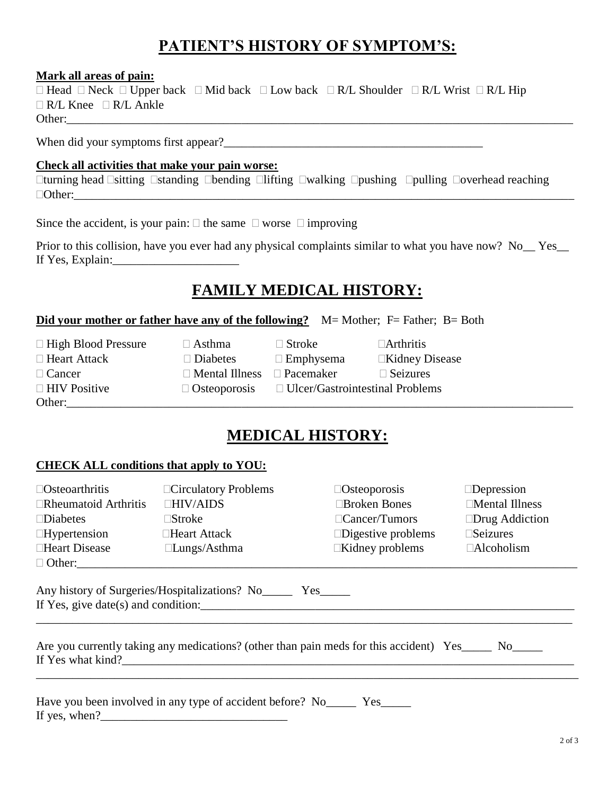# **PATIENT'S HISTORY OF SYMPTOM'S:**

#### **Mark all areas of pain:**

| $\Box$ Head $\Box$ Neck $\Box$ Upper back $\Box$ Mid back $\Box$ Low back $\Box$ R/L Shoulder $\Box$ R/L Wrist $\Box$ R/L Hip |  |  |  |
|-------------------------------------------------------------------------------------------------------------------------------|--|--|--|
| $\Box$ R/L Knee $\Box$ R/L Ankle                                                                                              |  |  |  |
| Other:                                                                                                                        |  |  |  |

When did your symptoms first appear?\_\_\_\_\_\_\_\_\_\_\_\_\_\_\_\_\_\_\_\_\_\_\_\_\_\_\_\_\_\_\_\_\_\_\_\_\_\_\_\_\_\_\_

#### **Check all activities that make your pain worse:**

 $\Box$ turning head  $\Box$ sitting  $\Box$ standing  $\Box$ bending  $\Box$ lifting  $\Box$ walking  $\Box$ pushing  $\Box$ pulling  $\Box$ overhead reaching  $\Box$  Other:

Since the accident, is your pain:  $\Box$  the same  $\Box$  worse  $\Box$  improving

Prior to this collision, have you ever had any physical complaints similar to what you have now? No Yes If Yes, Explain:

### **FAMILY MEDICAL HISTORY:**

#### **Did your mother or father have any of the following?** M= Mother; F= Father; B= Both

| $\Box$ High Blood Pressure | $\Box$ Asthma         | $\Box$ Stroke                          | $\Box$ Arthritis      |
|----------------------------|-----------------------|----------------------------------------|-----------------------|
| $\Box$ Heart Attack        | $\Box$ Diabetes       | $\Box$ Emphysema                       | $\Box$ Kidney Disease |
| $\Box$ Cancer              | $\Box$ Mental Illness | $\Box$ Pacemaker                       | $\Box$ Seizures       |
| $\Box$ HIV Positive        | $\Box$ Osteoporosis   | $\Box$ Ulcer/Gastrointestinal Problems |                       |
| Other:                     |                       |                                        |                       |

# **MEDICAL HISTORY:**

#### **CHECK ALL conditions that apply to YOU:**

| $\Box$ Osteoarthritis                                                                                                                          | □Circulatory Problems<br>$\Box$ Osteoporosis  |                                        | $\Box$ Depression     |  |  |
|------------------------------------------------------------------------------------------------------------------------------------------------|-----------------------------------------------|----------------------------------------|-----------------------|--|--|
| $\Box$ Rheumatoid Arthritis                                                                                                                    | $\Box$ HIV/AIDS                               | □Broken Bones<br>$\Box$ Mental Illness |                       |  |  |
| $\square$ Diabetes                                                                                                                             | $\square$ Stroke                              | $\Box$ Cancer/Tumors                   | $\Box$ Drug Addiction |  |  |
| $\Box$ Hypertension                                                                                                                            | $\Box$ Heart Attack                           | $\square$ Digestive problems           | $\square$ Seizures    |  |  |
| □Heart Disease                                                                                                                                 | $\Box$ Kidney problems<br>$\Box$ Lungs/Asthma |                                        | $\Box$ Alcoholism     |  |  |
| $\Box$ Other:                                                                                                                                  |                                               |                                        |                       |  |  |
| Any history of Surgeries/Hospitalizations? No__________ Yes_________<br>If Yes, give date(s) and condition:                                    |                                               |                                        |                       |  |  |
| Are you currently taking any medications? (other than pain meds for this accident) Yes_____ No_____<br>If Yes what kind?                       |                                               |                                        |                       |  |  |
| Have you been involved in any type of accident before? No_________ Yes_________<br>$\mathbf{r} \cdot \mathbf{r} = \mathbf{r} \cdot \mathbf{r}$ |                                               |                                        |                       |  |  |

If yes, when? $\frac{1}{2}$